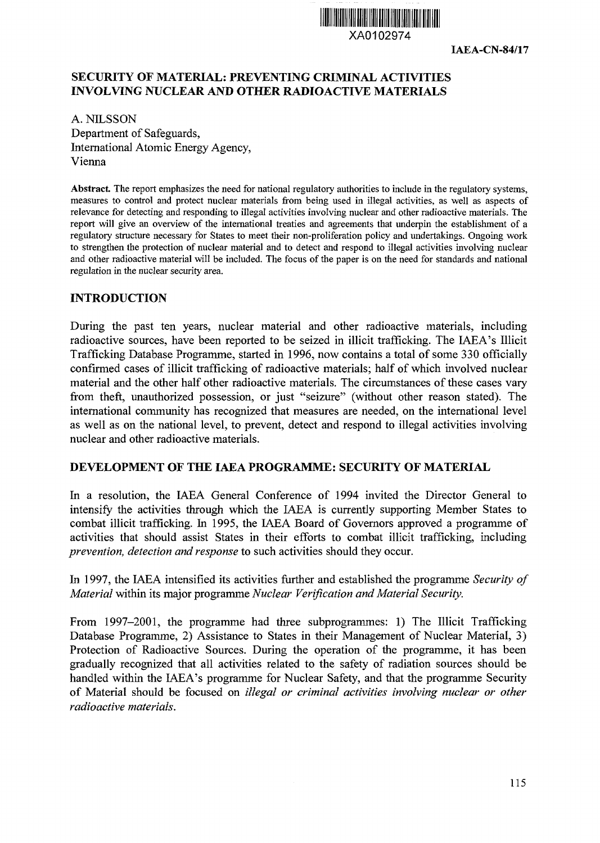

**IAEA-CN-84/17**

## **SECURITY OF MATERIAL: PREVENTING CRIMINAL ACTIVITIES INVOLVING NUCLEAR AND OTHER RADIOACTIVE MATERIALS**

A. NILSSON Department of Safeguards, International Atomic Energy Agency, Vienna

**Abstract** The report emphasizes the need for national regulatory authorities to include in the regulatory systems, measures to control and protect nuclear materials from being used in illegal activities, as well as aspects of relevance for detecting and responding to illegal activities involving nuclear and other radioactive materials. The report will give an overview of the international treaties and agreements that underpin the establishment of a regulatory structure necessary for States to meet their non-proliferation policy and undertakings. Ongoing work to strengthen the protection of nuclear material and to detect and respond to illegal activities involving nuclear and other radioactive material will be included. The focus of the paper is on the need for standards and national regulation in the nuclear security area.

#### **INTRODUCTION**

During the past ten years, nuclear material and other radioactive materials, including radioactive sources, have been reported to be seized in illicit trafficking. The IAEA's Illicit Trafficking Database Programme, started in 1996, now contains a total of some 330 officially confirmed cases of illicit trafficking of radioactive materials; half of which involved nuclear material and the other half other radioactive materials. The circumstances of these cases vary from theft, unauthorized possession, or just "seizure" (without other reason stated). The international community has recognized that measures are needed, on the international level as well as on the national level, to prevent, detect and respond to illegal activities involving nuclear and other radioactive materials.

#### **DEVELOPMENT OF THE IAEA PROGRAMME: SECURITY OF MATERIAL**

In a resolution, the IAEA General Conference of 1994 invited the Director General to intensify the activities through which the IAEA is currently supporting Member States to combat illicit trafficking. In 1995, the IAEA Board of Governors approved a programme of activities that should assist States in their efforts to combat illicit trafficking, including *prevention, detection and response* to such activities should they occur.

In 1997, the IAEA intensified its activities further and established the programme *Security of Material* within its major programme *Nuclear Verification and Material Security.*

From 1997-2001, the programme had three subprogrammes: 1) The Illicit Trafficking Database Programme, 2) Assistance to States in their Management of Nuclear Material, 3) Protection of Radioactive Sources. During the operation of the programme, it has been gradually recognized that all activities related to the safety of radiation sources should be handled within the IAEA's programme for Nuclear Safety, and that the programme Security of Material should be focused on *illegal or criminal activities involving nuclear or other radioactive materials.*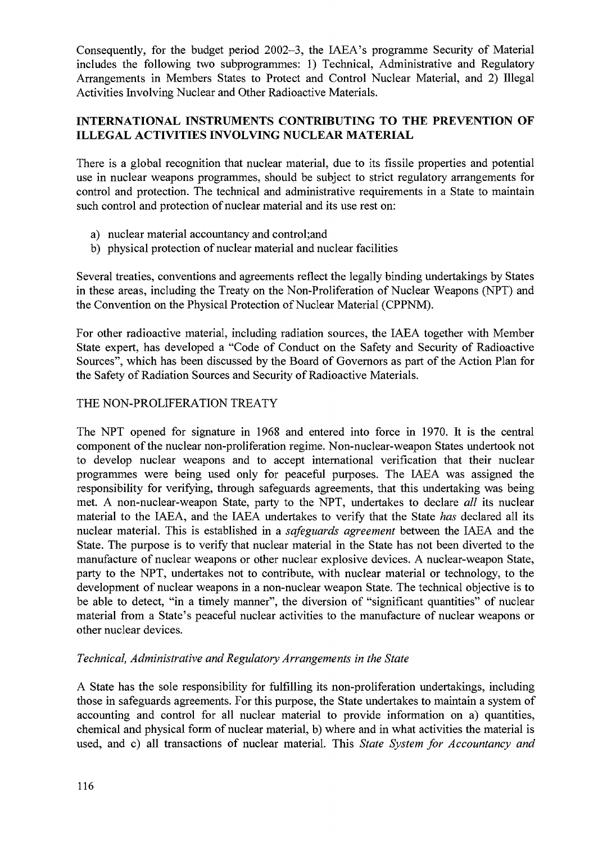Consequently, for the budget period 2002-3, the IAEA's programme Security of Material includes the following two subprogrammes: 1) Technical, Administrative and Regulatory Arrangements in Members States to Protect and Control Nuclear Material, and 2) Illegal Activities Involving Nuclear and Other Radioactive Materials.

# **INTERNATIONAL INSTRUMENTS CONTRIBUTING TO THE PREVENTION OF ILLEGAL ACTIVITIES INVOLVING NUCLEAR MATERIAL**

There is a global recognition that nuclear material, due to its fissile properties and potential use in nuclear weapons programmes, should be subject to strict regulatory arrangements for control and protection. The technical and administrative requirements in a State to maintain such control and protection of nuclear material and its use rest on:

- a) nuclear material accountancy and control;and
- b) physical protection of nuclear material and nuclear facilities

Several treaties, conventions and agreements reflect the legally binding undertakings by States in these areas, including the Treaty on the Non-Proliferation of Nuclear Weapons (NPT) and the Convention on the Physical Protection of Nuclear Material (CPPNM).

For other radioactive material, including radiation sources, the IAEA together with Member State expert, has developed a "Code of Conduct on the Safety and Security of Radioactive Sources", which has been discussed by the Board of Governors as part of the Action Plan for the Safety of Radiation Sources and Security of Radioactive Materials.

## THE NON-PROLIFERATION TREATY

The NPT opened for signature in 1968 and entered into force in 1970. It is the central component of the nuclear non-proliferation regime. Non-nuclear-weapon States undertook not to develop nuclear weapons and to accept international verification that their nuclear programmes were being used only for peaceful purposes. The IAEA was assigned the responsibility for verifying, through safeguards agreements, that this undertaking was being met. A non-nuclear-weapon State, party to the NPT, undertakes to declare *all* its nuclear material to the IAEA, and the IAEA undertakes to verify that the State *has* declared all its nuclear material. This is established in a *safeguards agreement* between the IAEA and the State. The purpose is to verify that nuclear material in the State has not been diverted to the manufacture of nuclear weapons or other nuclear explosive devices. A nuclear-weapon State, party to the NPT, undertakes not to contribute, with nuclear material or technology, to the development of nuclear weapons in a non-nuclear weapon State. The technical objective is to be able to detect, "in a timely manner", the diversion of "significant quantities" of nuclear material from a State's peaceful nuclear activities to the manufacture of nuclear weapons or other nuclear devices.

#### *Technical, Administrative and Regulatory Arrangements in the State*

A State has the sole responsibility for fulfilling its non-proliferation undertakings, including those in safeguards agreements. For this purpose, the State undertakes to maintain a system of accounting and control for all nuclear material to provide information on a) quantities, chemical and physical form of nuclear material, b) where and in what activities the material is used, and c) all transactions of nuclear material. This *State System for Accountancy and*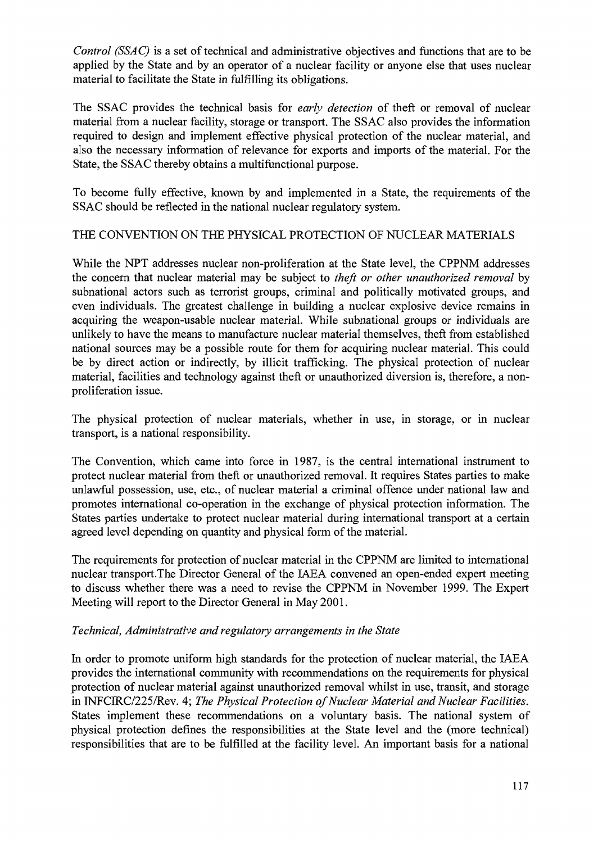*Control (SSAC)* is a set of technical and administrative objectives and functions that are to be applied by the State and by an operator of a nuclear facility or anyone else that uses nuclear material to facilitate the State in fulfilling its obligations.

The SSAC provides the technical basis for *early detection* of theft or removal of nuclear material from a nuclear facility, storage or transport. The SSAC also provides the information required to design and implement effective physical protection of the nuclear material, and also the necessary information of relevance for exports and imports of the material. For the State, the SSAC thereby obtains a multifunctional purpose.

To become fully effective, known by and implemented in a State, the requirements of the SSAC should be reflected in the national nuclear regulatory system.

## THE CONVENTION ON THE PHYSICAL PROTECTION OF NUCLEAR MATERIALS

While the NPT addresses nuclear non-proliferation at the State level, the CPPNM addresses the concern that nuclear material may be subject to *theft or other unauthorized removal* by subnational actors such as terrorist groups, criminal and politically motivated groups, and even individuals. The greatest challenge in building a nuclear explosive device remains in acquiring the weapon-usable nuclear material. While subnational groups or individuals are unlikely to have the means to manufacture nuclear material themselves, theft from established national sources may be a possible route for them for acquiring nuclear material. This could be by direct action or indirectly, by illicit trafficking. The physical protection of nuclear material, facilities and technology against theft or unauthorized diversion is, therefore, a nonproliferation issue.

The physical protection of nuclear materials, whether in use, in storage, or in nuclear transport, is a national responsibility.

The Convention, which came into force in 1987, is the central international instrument to protect nuclear material from theft or unauthorized removal. It requires States parties to make unlawful possession, use, etc., of nuclear material a criminal offence under national law and promotes international co-operation in the exchange of physical protection information. The States parties undertake to protect nuclear material during international transport at a certain agreed level depending on quantity and physical form of the material.

The requirements for protection of nuclear material in the CPPNM are limited to international nuclear transport.The Director General of the IAEA convened an open-ended expert meeting to discuss whether there was a need to revise the CPPNM in November 1999. The Expert Meeting will report to the Director General in May 2001.

#### *Technical, Administrative and regulatory arrangements in the State*

In order to promote uniform high standards for the protection of nuclear material, the IAEA provides the international community with recommendations on the requirements for physical protection of nuclear material against unauthorized removal whilst in use, transit, and storage in INFCIRC/225/Rev. 4; *The Physical Protection of Nuclear Material and Nuclear Facilities.* States implement these recommendations on a voluntary basis. The national system of physical protection defines the responsibilities at the State level and the (more technical) responsibilities that are to be fulfilled at the facility level. An important basis for a national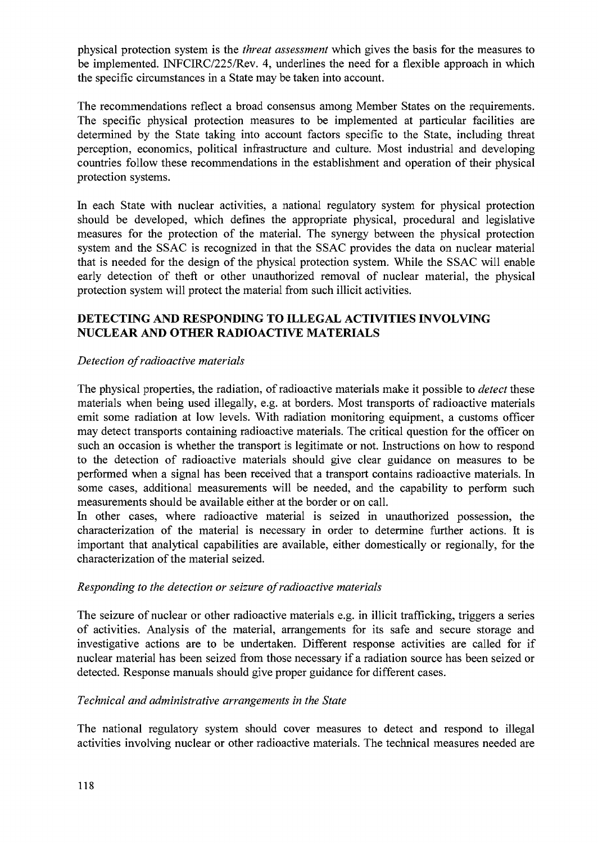physical protection system is the *threat assessment* which gives the basis for the measures to be implemented. INFCIRC/225/Rev. 4, underlines the need for a flexible approach in which the specific circumstances in a State may be taken into account.

The recommendations reflect a broad consensus among Member States on the requirements. The specific physical protection measures to be implemented at particular facilities are determined by the State taking into account factors specific to the State, including threat perception, economics, political infrastructure and culture. Most industrial and developing countries follow these recommendations in the establishment and operation of their physical protection systems.

In each State with nuclear activities, a national regulatory system for physical protection should be developed, which defines the appropriate physical, procedural and legislative measures for the protection of the material. The synergy between the physical protection system and the SSAC is recognized in that the SSAC provides the data on nuclear material that is needed for the design of the physical protection system. While the SSAC will enable early detection of theft or other unauthorized removal of nuclear material, the physical protection system will protect the material from such illicit activities.

# **DETECTING AND RESPONDING TO ILLEGAL ACTIVITIES INVOLVING NUCLEAR AND OTHER RADIOACTIVE MATERIALS**

## *Detection of radioactive materials*

The physical properties, the radiation, of radioactive materials make it possible to *detect* these materials when being used illegally, e.g. at borders. Most transports of radioactive materials emit some radiation at low levels. With radiation monitoring equipment, a customs officer may detect transports containing radioactive materials. The critical question for the officer on such an occasion is whether the transport is legitimate or not. Instructions on how to respond to the detection of radioactive materials should give clear guidance on measures to be performed when a signal has been received that a transport contains radioactive materials. In some cases, additional measurements will be needed, and the capability to perform such measurements should be available either at the border or on call.

In other cases, where radioactive material is seized in unauthorized possession, the characterization of the material is necessary in order to determine further actions. It is important that analytical capabilities are available, either domestically or regionally, for the characterization of the material seized.

#### *Responding to the detection or seizure of radioactive materials*

The seizure of nuclear or other radioactive materials e.g. in illicit trafficking, triggers a series of activities. Analysis of the material, arrangements for its safe and secure storage and investigative actions are to be undertaken. Different response activities are called for if nuclear material has been seized from those necessary if a radiation source has been seized or detected. Response manuals should give proper guidance for different cases.

#### *Technical and administrative arrangements in the State*

The national regulatory system should cover measures to detect and respond to illegal activities involving nuclear or other radioactive materials. The technical measures needed are